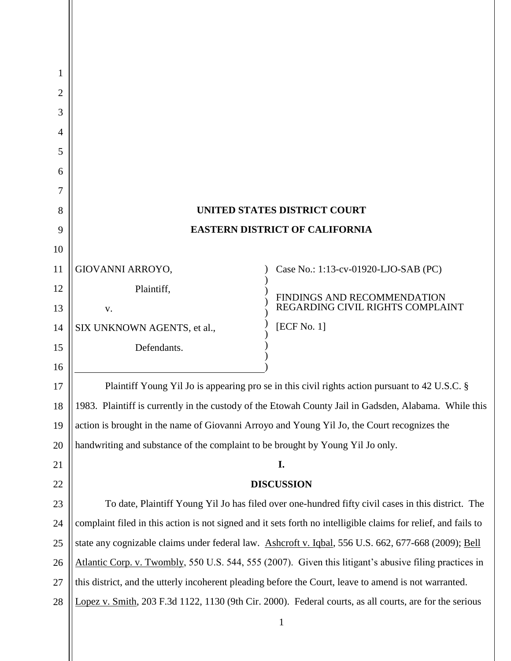| 1  |                                                                                                                |                                                                                                         |
|----|----------------------------------------------------------------------------------------------------------------|---------------------------------------------------------------------------------------------------------|
| 2  |                                                                                                                |                                                                                                         |
| 3  |                                                                                                                |                                                                                                         |
| 4  |                                                                                                                |                                                                                                         |
| 5  |                                                                                                                |                                                                                                         |
| 6  |                                                                                                                |                                                                                                         |
| 7  |                                                                                                                |                                                                                                         |
| 8  | <b>UNITED STATES DISTRICT COURT</b>                                                                            |                                                                                                         |
| 9  | <b>EASTERN DISTRICT OF CALIFORNIA</b>                                                                          |                                                                                                         |
| 10 |                                                                                                                |                                                                                                         |
| 11 | GIOVANNI ARROYO,                                                                                               | Case No.: 1:13-cv-01920-LJO-SAB (PC)                                                                    |
| 12 | Plaintiff,                                                                                                     | FINDINGS AND RECOMMENDATION                                                                             |
| 13 | V.                                                                                                             | REGARDING CIVIL RIGHTS COMPLAINT                                                                        |
| 14 | SIX UNKNOWN AGENTS, et al.,                                                                                    | [ECF No. 1]                                                                                             |
| 15 | Defendants.                                                                                                    |                                                                                                         |
| 16 |                                                                                                                |                                                                                                         |
| 17 | Plaintiff Young Yil Jo is appearing pro se in this civil rights action pursuant to 42 U.S.C. §                 |                                                                                                         |
| 18 | 1983. Plaintiff is currently in the custody of the Etowah County Jail in Gadsden, Alabama. While this          |                                                                                                         |
| 19 | action is brought in the name of Giovanni Arroyo and Young Yil Jo, the Court recognizes the                    |                                                                                                         |
| 20 | handwriting and substance of the complaint to be brought by Young Yil Jo only.                                 |                                                                                                         |
| 21 | I.                                                                                                             |                                                                                                         |
| 22 | <b>DISCUSSION</b>                                                                                              |                                                                                                         |
| 23 | To date, Plaintiff Young Yil Jo has filed over one-hundred fifty civil cases in this district. The             |                                                                                                         |
| 24 | complaint filed in this action is not signed and it sets forth no intelligible claims for relief, and fails to |                                                                                                         |
| 25 | state any cognizable claims under federal law. Ashcroft v. Iqbal, 556 U.S. 662, 677-668 (2009); Bell           |                                                                                                         |
| 26 | Atlantic Corp. v. Twombly, 550 U.S. 544, 555 (2007). Given this litigant's abusive filing practices in         |                                                                                                         |
| 27 | this district, and the utterly incoherent pleading before the Court, leave to amend is not warranted.          |                                                                                                         |
| 28 |                                                                                                                | Lopez v. Smith, 203 F.3d 1122, 1130 (9th Cir. 2000). Federal courts, as all courts, are for the serious |